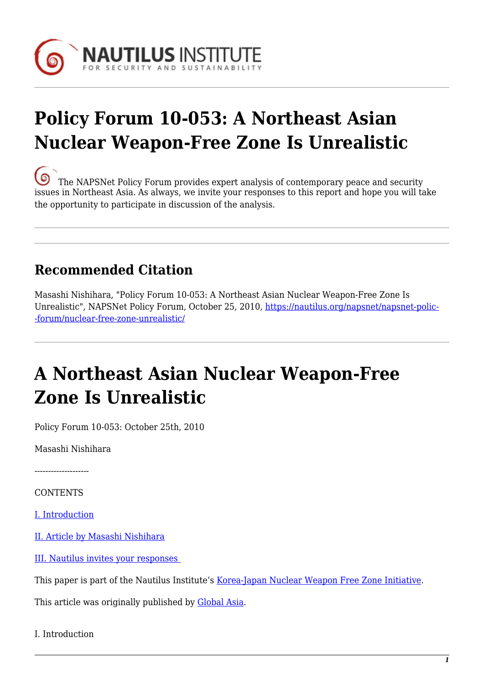

# **Policy Forum 10-053: A Northeast Asian Nuclear Weapon-Free Zone Is Unrealistic**

[T](https://nautilus.org/wp-content/uploads/2013/05/nautilus-logo-small.png)he NAPSNet Policy Forum provides expert analysis of contemporary peace and security issues in Northeast Asia. As always, we invite your responses to this report and hope you will take the opportunity to participate in discussion of the analysis.

### **Recommended Citation**

Masashi Nishihara, "Policy Forum 10-053: A Northeast Asian Nuclear Weapon-Free Zone Is Unrealistic", NAPSNet Policy Forum, October 25, 2010, [https://nautilus.org/napsnet/napsnet-polic-](https://nautilus.org/napsnet/napsnet-policy-forum/nuclear-free-zone-unrealistic/) [-forum/nuclear-free-zone-unrealistic/](https://nautilus.org/napsnet/napsnet-policy-forum/nuclear-free-zone-unrealistic/)

## **A Northeast Asian Nuclear Weapon-Free Zone Is Unrealistic**

Policy Forum 10-053: October 25th, 2010

Masashi Nishihara

--------------------

**CONTENTS** 

[I. Introduction](#page--1-0)

[II. Article by Masashi Nishihara](#page-1-0)

[III. Nautilus invites your responses](#page-3-0) 

This paper is part of the Nautilus Institute's [Korea-Japan Nuclear Weapon Free Zone Initiative](https://nautilus.org/initiatives/korea-japan-nwfz).

This article was originally published by [Global Asia.](http://www.globalasia.org/V5N3_Fall_2010/Peter_Hayes.html)

I. Introduction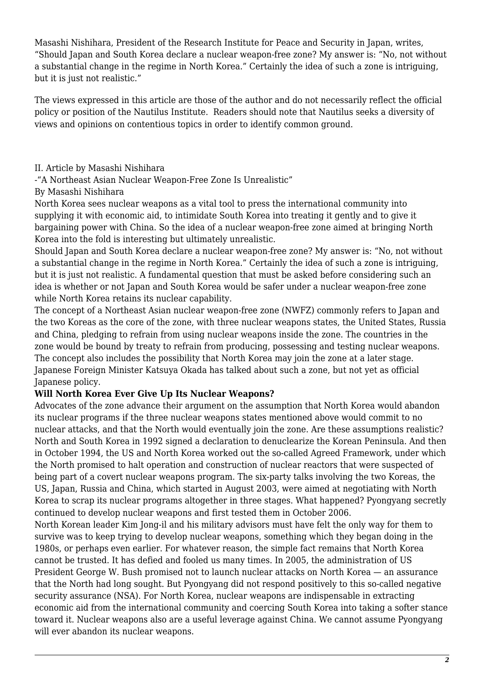Masashi Nishihara, President of the Research Institute for Peace and Security in Japan, writes, "Should Japan and South Korea declare a nuclear weapon-free zone? My answer is: "No, not without a substantial change in the regime in North Korea." Certainly the idea of such a zone is intriguing, but it is just not realistic."

The views expressed in this article are those of the author and do not necessarily reflect the official policy or position of the Nautilus Institute. Readers should note that Nautilus seeks a diversity of views and opinions on contentious topics in order to identify common ground.

#### <span id="page-1-0"></span>II. Article by Masashi Nishihara

-"A Northeast Asian Nuclear Weapon-Free Zone Is Unrealistic"

#### By Masashi Nishihara

North Korea sees nuclear weapons as a vital tool to press the international community into supplying it with economic aid, to intimidate South Korea into treating it gently and to give it bargaining power with China. So the idea of a nuclear weapon-free zone aimed at bringing North Korea into the fold is interesting but ultimately unrealistic.

Should Japan and South Korea declare a nuclear weapon-free zone? My answer is: "No, not without a substantial change in the regime in North Korea." Certainly the idea of such a zone is intriguing, but it is just not realistic. A fundamental question that must be asked before considering such an idea is whether or not Japan and South Korea would be safer under a nuclear weapon-free zone while North Korea retains its nuclear capability.

The concept of a Northeast Asian nuclear weapon-free zone (NWFZ) commonly refers to Japan and the two Koreas as the core of the zone, with three nuclear weapons states, the United States, Russia and China, pledging to refrain from using nuclear weapons inside the zone. The countries in the zone would be bound by treaty to refrain from producing, possessing and testing nuclear weapons. The concept also includes the possibility that North Korea may join the zone at a later stage. Japanese Foreign Minister Katsuya Okada has talked about such a zone, but not yet as official Japanese policy.

#### **Will North Korea Ever Give Up Its Nuclear Weapons?**

Advocates of the zone advance their argument on the assumption that North Korea would abandon its nuclear programs if the three nuclear weapons states mentioned above would commit to no nuclear attacks, and that the North would eventually join the zone. Are these assumptions realistic? North and South Korea in 1992 signed a declaration to denuclearize the Korean Peninsula. And then in October 1994, the US and North Korea worked out the so-called Agreed Framework, under which the North promised to halt operation and construction of nuclear reactors that were suspected of being part of a covert nuclear weapons program. The six-party talks involving the two Koreas, the US, Japan, Russia and China, which started in August 2003, were aimed at negotiating with North Korea to scrap its nuclear programs altogether in three stages. What happened? Pyongyang secretly continued to develop nuclear weapons and first tested them in October 2006.

North Korean leader Kim Jong-il and his military advisors must have felt the only way for them to survive was to keep trying to develop nuclear weapons, something which they began doing in the 1980s, or perhaps even earlier. For whatever reason, the simple fact remains that North Korea cannot be trusted. It has defied and fooled us many times. In 2005, the administration of US President George W. Bush promised not to launch nuclear attacks on North Korea — an assurance that the North had long sought. But Pyongyang did not respond positively to this so-called negative security assurance (NSA). For North Korea, nuclear weapons are indispensable in extracting economic aid from the international community and coercing South Korea into taking a softer stance toward it. Nuclear weapons also are a useful leverage against China. We cannot assume Pyongyang will ever abandon its nuclear weapons.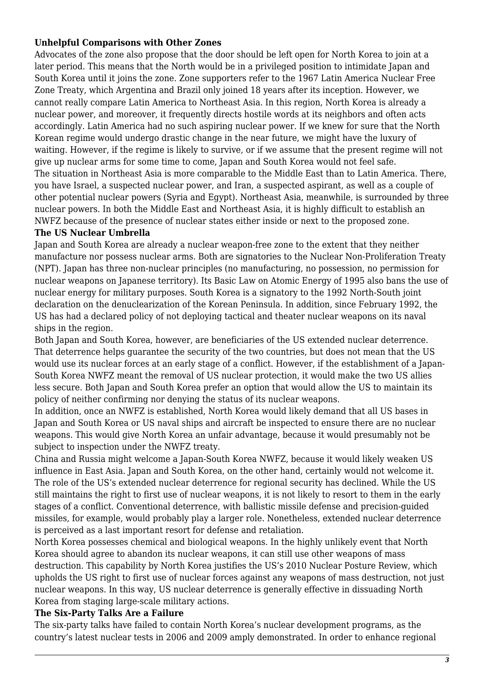#### **Unhelpful Comparisons with Other Zones**

Advocates of the zone also propose that the door should be left open for North Korea to join at a later period. This means that the North would be in a privileged position to intimidate Japan and South Korea until it joins the zone. Zone supporters refer to the 1967 Latin America Nuclear Free Zone Treaty, which Argentina and Brazil only joined 18 years after its inception. However, we cannot really compare Latin America to Northeast Asia. In this region, North Korea is already a nuclear power, and moreover, it frequently directs hostile words at its neighbors and often acts accordingly. Latin America had no such aspiring nuclear power. If we knew for sure that the North Korean regime would undergo drastic change in the near future, we might have the luxury of waiting. However, if the regime is likely to survive, or if we assume that the present regime will not give up nuclear arms for some time to come, Japan and South Korea would not feel safe. The situation in Northeast Asia is more comparable to the Middle East than to Latin America. There, you have Israel, a suspected nuclear power, and Iran, a suspected aspirant, as well as a couple of other potential nuclear powers (Syria and Egypt). Northeast Asia, meanwhile, is surrounded by three nuclear powers. In both the Middle East and Northeast Asia, it is highly difficult to establish an NWFZ because of the presence of nuclear states either inside or next to the proposed zone.

#### **The US Nuclear Umbrella**

Japan and South Korea are already a nuclear weapon-free zone to the extent that they neither manufacture nor possess nuclear arms. Both are signatories to the Nuclear Non-Proliferation Treaty (NPT). Japan has three non-nuclear principles (no manufacturing, no possession, no permission for nuclear weapons on Japanese territory). Its Basic Law on Atomic Energy of 1995 also bans the use of nuclear energy for military purposes. South Korea is a signatory to the 1992 North-South joint declaration on the denuclearization of the Korean Peninsula. In addition, since February 1992, the US has had a declared policy of not deploying tactical and theater nuclear weapons on its naval ships in the region.

Both Japan and South Korea, however, are beneficiaries of the US extended nuclear deterrence. That deterrence helps guarantee the security of the two countries, but does not mean that the US would use its nuclear forces at an early stage of a conflict. However, if the establishment of a Japan-South Korea NWFZ meant the removal of US nuclear protection, it would make the two US allies less secure. Both Japan and South Korea prefer an option that would allow the US to maintain its policy of neither confirming nor denying the status of its nuclear weapons.

In addition, once an NWFZ is established, North Korea would likely demand that all US bases in Japan and South Korea or US naval ships and aircraft be inspected to ensure there are no nuclear weapons. This would give North Korea an unfair advantage, because it would presumably not be subject to inspection under the NWFZ treaty.

China and Russia might welcome a Japan-South Korea NWFZ, because it would likely weaken US influence in East Asia. Japan and South Korea, on the other hand, certainly would not welcome it. The role of the US's extended nuclear deterrence for regional security has declined. While the US still maintains the right to first use of nuclear weapons, it is not likely to resort to them in the early stages of a conflict. Conventional deterrence, with ballistic missile defense and precision-guided missiles, for example, would probably play a larger role. Nonetheless, extended nuclear deterrence is perceived as a last important resort for defense and retaliation.

North Korea possesses chemical and biological weapons. In the highly unlikely event that North Korea should agree to abandon its nuclear weapons, it can still use other weapons of mass destruction. This capability by North Korea justifies the US's 2010 Nuclear Posture Review, which upholds the US right to first use of nuclear forces against any weapons of mass destruction, not just nuclear weapons. In this way, US nuclear deterrence is generally effective in dissuading North Korea from staging large-scale military actions.

#### **The Six-Party Talks Are a Failure**

The six-party talks have failed to contain North Korea's nuclear development programs, as the country's latest nuclear tests in 2006 and 2009 amply demonstrated. In order to enhance regional